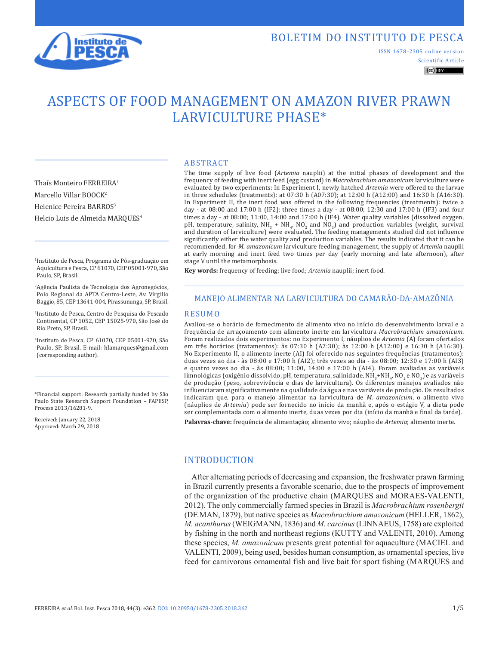

Thaís Monteiro FERREIRA1 Marcello Villar BOOCK<sup>2</sup> Helenice Pereira BARROS<sup>3</sup>

Helcio Luis de Almeida MARQUES4

Scientific Article ISSN 1678-2305 online version

## $\left(\mathrm{cc}\right)$  BY

# ASPECTS OF FOOD MANAGEMENT ON AMAZON RIVER PRAWN LARVICULTURE PHASE\*

ABSTRACT

The time supply of live food (*Artemia* nauplii) at the initial phases of development and the frequency of feeding with inert feed (egg custard) in *Macrobrachium amazonicum* larviculture were evaluated by two experiments: In Experiment I, newly hatched *Artemia* were offered to the larvae in three schedules (treatments): at 07:30 h (A07:30); at 12:00 h (A12:00) and 16:30 h (A16:30). In Experiment II, the inert food was offered in the following frequencies (treatments): twice a day - at 08:00 and 17:00 h (IF2); three times a day - at 08:00; 12:30 and 17:00 h (IF3) and four times a day - at 08:00; 11:00, 14:00 and 17:00 h (IF4). Water quality variables (dissolved oxygen, pH, temperature, salinity,  $NH_3 + NH_4$ , NO<sub>2</sub> and NO<sub>3</sub>) and production variables (weight, survival and duration of larviculture) were evaluated. The feeding managements studied did not influence significantly either the water quality and production variables. The results indicated that it can be recommended, for *M. amazonicum* larviculture feeding management, the supply of *Artemia* nauplii at early morning and inert feed two times per day (early morning and late afternoon), after stage V until the metamorphosis.

**Key words:** frequency of feeding; live food; *Artemia* nauplii; inert food.

## MANEJO ALIMENTAR NA LARVICULTURA DO CAMARÃO-DA-AMAZÔNIA

#### RESUMO

Avaliou-se o horário de fornecimento de alimento vivo no início do desenvolvimento larval e a frequência de arraçoamento com alimento inerte em larvicultura *Macrobrachium amazonicum*. Foram realizados dois experimentos: no Experimento I, náuplios de *Artemia* (A) foram ofertados em três horários (tratamentos): às 07:30 h (A7:30); às 12:00 h (A12:00) e 16:30 h (A16:30). No Experimento II, o alimento inerte (AI) foi oferecido nas seguintes frequências (tratamentos): duas vezes ao dia - às 08:00 e 17:00 h (AI2); três vezes ao dia - às 08:00; 12:30 e 17:00 h (AI3) e quatro vezes ao dia - às 08:00; 11:00, 14:00 e 17:00 h (AI4). Foram avaliadas as variáveis limnológicas (oxigênio dissolvido, pH, temperatura, salinidade,  $NH_3+NH_4$ , NO<sub>2</sub> e NO<sub>2</sub>) e as variáveis de produção (peso, sobrevivência e dias de larvicultura). Os diferentes manejos avaliados não influenciaram significativamente na qualidade da água e nas variáveis de produção. Os resultados indicaram que, para o manejo alimentar na larvicultura de *M. amazonicum*, o alimento vivo (náuplios de *Artemia*) pode ser fornecido no início da manhã e, após o estágio V, a dieta pode ser complementada com o alimento inerte, duas vezes por dia (início da manhã e final da tarde). **Palavras-chave:** frequência de alimentação; alimento vivo; náuplio de *Artemia*; alimento inerte.

#### INTRODUCTION

After alternating periods of decreasing and expansion, the freshwater prawn farming in Brazil currently presents a favorable scenario, due to the prospects of improvement of the organization of the productive chain (MARQUES and MORAES-VALENTI, 2012). The only commercially farmed species in Brazil is *Macrobrachium rosenbergii* (DE MAN, 1879), but native species as *Macrobrachium amazonicum* (HELLER, 1862), *M. acanthurus* (WEIGMANN, 1836) and *M. carcinus* (LINNAEUS, 1758) are exploited by fishing in the north and northeast regions (KUTTY and VALENTI, 2010). Among these species, *M. amazonicum* presents great potential for aquaculture (MACIEL and VALENTI, 2009), being used, besides human consumption, as ornamental species, live feed for carnivorous ornamental fish and live bait for sport fishing (MARQUES and

1Instituto de Pesca, Programa de Pós-graduação em Aquicultura e Pesca, CP 61070, CEP 05001-970, São Paulo, SP, Brasil.

2Agência Paulista de Tecnologia dos Agronegócios, Polo Regional da APTA Centro-Leste, Av. Virgilio Baggio, 85, CEP 13641-004, Pirassununga, SP, Brasil.

3Instituto de Pesca, Centro de Pesquisa do Pescado Continental, CP 1052, CEP 15025-970, São José do Rio Preto, SP, Brasil.

4Instituto de Pesca, CP 61070, CEP 05001-970, São Paulo, SP, Brasil. E-mail: hlamarques@gmail.com (corresponding author).

\*Financial support: Research partially funded by São Paulo State Research Support Foundation – FAPESP, Process 2013/16281-9.

Received: January 22, 2018 Approved: March 29, 2018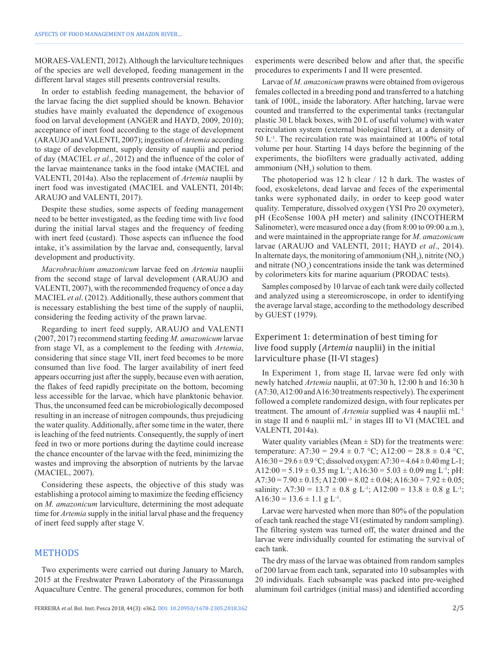MORAES-VALENTI, 2012). Although the larviculture techniques of the species are well developed, feeding management in the different larval stages still presents controversial results.

In order to establish feeding management, the behavior of the larvae facing the diet supplied should be known. Behavior studies have mainly evaluated the dependence of exogenous food on larval development (ANGER and HAYD, 2009, 2010); acceptance of inert food according to the stage of development (ARAUJO and VALENTI, 2007); ingestion of *Artemia* according to stage of development, supply density of nauplii and period of day (MACIEL *et al*., 2012) and the influence of the color of the larvae maintenance tanks in the food intake (MACIEL and VALENTI, 2014a). Also the replacement of *Artemia* nauplii by inert food was investigated (MACIEL and VALENTI, 2014b; ARAUJO and VALENTI, 2017).

Despite these studies, some aspects of feeding management need to be better investigated, as the feeding time with live food during the initial larval stages and the frequency of feeding with inert feed (custard). Those aspects can influence the food intake, it's assimilation by the larvae and, consequently, larval development and productivity.

*Macrobrachium amazonicum* larvae feed on *Artemia* nauplii from the second stage of larval development (ARAUJO and VALENTI, 2007), with the recommended frequency of once a day MACIEL *et al*. (2012). Additionally, these authors comment that is necessary establishing the best time of the supply of nauplii, considering the feeding activity of the prawn larvae.

Regarding to inert feed supply, ARAUJO and VALENTI (2007, 2017) recommend starting feeding *M. amazonicum* larvae from stage VI, as a complement to the feeding with *Artemia*, considering that since stage VII, inert feed becomes to be more consumed than live food. The larger availability of inert feed appears occurring just after the supply, because even with aeration, the flakes of feed rapidly precipitate on the bottom, becoming less accessible for the larvae, which have planktonic behavior. Thus, the unconsumed feed can be microbiologically decomposed resulting in an increase of nitrogen compounds, thus prejudicing the water quality. Additionally, after some time in the water, there is leaching of the feed nutrients. Consequently, the supply of inert feed in two or more portions during the daytime could increase the chance encounter of the larvae with the feed, minimizing the wastes and improving the absorption of nutrients by the larvae (MACIEL, 2007).

Considering these aspects, the objective of this study was establishing a protocol aiming to maximize the feeding efficiency on *M. amazonicum* larviculture, determining the most adequate time for *Artemia* supply in the initial larval phase and the frequency of inert feed supply after stage V.

## METHODS

Two experiments were carried out during January to March, 2015 at the Freshwater Prawn Laboratory of the Pirassununga Aquaculture Centre. The general procedures, common for both experiments were described below and after that, the specific procedures to experiments I and II were presented.

Larvae of *M. amazonicum* prawns were obtained from ovigerous females collected in a breeding pond and transferred to a hatching tank of 100L, inside the laboratory. After hatching, larvae were counted and transferred to the experimental tanks (rectangular plastic 30 L black boxes, with 20 L of useful volume) with water recirculation system (external biological filter), at a density of 50 L-1. The recirculation rate was maintained at 100% of total volume per hour. Starting 14 days before the beginning of the experiments, the biofilters were gradually activated, adding ammonium  $(NH_3)$  solution to them.

The photoperiod was 12 h clear / 12 h dark. The wastes of food, exoskeletons, dead larvae and feces of the experimental tanks were syphonated daily, in order to keep good water quality. Temperature, dissolved oxygen (YSI Pro 20 oxymeter), pH (EcoSense 100A pH meter) and salinity (INCOTHERM Salinometer), were measured once a day (from 8:00 to 09:00 a.m.), and were maintained in the appropriate range for *M. amazonicum* larvae (ARAUJO and VALENTI, 2011; HAYD *et al*., 2014). In alternate days, the monitoring of ammonium  $(NH_3)$ , nitrite  $(NO_2)$ and nitrate  $(NO<sub>3</sub>)$  concentrations inside the tank was determined by colorimeters kits for marine aquarium (PRODAC tests).

Samples composed by 10 larvae of each tank were daily collected and analyzed using a stereomicroscope, in order to identifying the average larval stage, according to the methodology described by GUEST (1979).

## Experiment 1: determination of best timing for live food supply (*Artemia* nauplii) in the initial larviculture phase (II-VI stages)

In Experiment 1, from stage II, larvae were fed only with newly hatched *Artemia* nauplii, at 07:30 h, 12:00 h and 16:30 h (A7:30, A12:00 and A16:30 treatments respectively). The experiment followed a complete randomized design, with four replicates per treatment. The amount of *Artemia* supplied was 4 nauplii mL-1 in stage II and 6 nauplii mL-1 in stages III to VI (MACIEL and VALENTI, 2014a).

Water quality variables (Mean  $\pm$  SD) for the treatments were: temperature: A7:30 = 29.4  $\pm$  0.7 °C; A12:00 = 28.8  $\pm$  0.4 °C, A16:30 = 29.6  $\pm$  0.9 °C; dissolved oxygen: A7:30 = 4.64  $\pm$  0.40 mg L-1; A12:00 = 5.19  $\pm$  0.35 mg L<sup>-1</sup>; A16:30 = 5.03  $\pm$  0.09 mg L<sup>-1</sup>; pH:  $A7:30 = 7.90 \pm 0.15$ ;  $A12:00 = 8.02 \pm 0.04$ ;  $A16:30 = 7.92 \pm 0.05$ ; salinity: A7:30 = 13.7  $\pm$  0.8 g L<sup>-1</sup>; A12:00 = 13.8  $\pm$  0.8 g L<sup>-1</sup>; A16:30 = 13.6  $\pm$  1.1 g L<sup>-1</sup>.

Larvae were harvested when more than 80% of the population of each tank reached the stage VI (estimated by random sampling). The filtering system was turned off, the water drained and the larvae were individually counted for estimating the survival of each tank.

The dry mass of the larvae was obtained from random samples of 200 larvae from each tank, separated into 10 subsamples with 20 individuals. Each subsample was packed into pre-weighed aluminum foil cartridges (initial mass) and identified according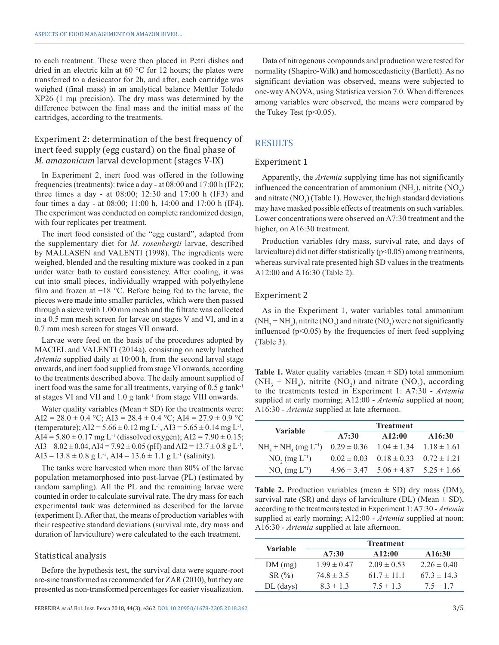to each treatment. These were then placed in Petri dishes and dried in an electric kiln at 60 °C for 12 hours; the plates were transferred to a desiccator for 2h, and after, each cartridge was weighed (final mass) in an analytical balance Mettler Toledo XP26 (1 mµ precision). The dry mass was determined by the difference between the final mass and the initial mass of the cartridges, according to the treatments.

## Experiment 2: determination of the best frequency of inert feed supply (egg custard) on the final phase of *M. amazonicum* larval development (stages V-IX)

In Experiment 2, inert food was offered in the following frequencies (treatments): twice a day - at 08:00 and 17:00 h (IF2); three times a day - at 08:00; 12:30 and 17:00 h (IF3) and four times a day - at 08:00; 11:00 h, 14:00 and 17:00 h (IF4). The experiment was conducted on complete randomized design, with four replicates per treatment.

The inert food consisted of the "egg custard", adapted from the supplementary diet for *M. rosenbergii* larvae, described by MALLASEN and VALENTI (1998). The ingredients were weighed, blended and the resulting mixture was cooked in a pan under water bath to custard consistency. After cooling, it was cut into small pieces, individually wrapped with polyethylene film and frozen at −18 °C. Before being fed to the larvae, the pieces were made into smaller particles, which were then passed through a sieve with 1.00 mm mesh and the filtrate was collected in a 0.5 mm mesh screen for larvae on stages V and VI, and in a 0.7 mm mesh screen for stages VII onward.

Larvae were feed on the basis of the procedures adopted by MACIEL and VALENTI (2014a), consisting on newly hatched *Artemia* supplied daily at 10:00 h, from the second larval stage onwards, and inert food supplied from stage VI onwards, according to the treatments described above. The daily amount supplied of inert food was the same for all treatments, varying of  $0.5$  g tank<sup>-1</sup> at stages VI and VII and 1.0 g tank-1 from stage VIII onwards.

Water quality variables (Mean  $\pm$  SD) for the treatments were: AI2 = 28.0  $\pm$  0.4 °C; AI3 = 28.4  $\pm$  0.4 °C; AI4 = 27.9  $\pm$  0.9 °C (temperature);  $AI2 = 5.66 \pm 0.12$  mg L<sup>-1</sup>,  $AI3 = 5.65 \pm 0.14$  mg L<sup>-1</sup>, AI4 =  $5.80 \pm 0.17$  mg L<sup>-1</sup> (dissolved oxygen); AI2 =  $7.90 \pm 0.15$ ; AI3 –  $8.02 \pm 0.04$ , AI4 =  $7.92 \pm 0.05$  (pH) and AI2 =  $13.7 \pm 0.8$  g L<sup>-1</sup>, AI3 – 13.8  $\pm$  0.8 g L<sup>-1</sup>, AI4 – 13.6  $\pm$  1.1 g L<sup>-1</sup> (salinity).

The tanks were harvested when more than 80% of the larvae population metamorphosed into post-larvae (PL) (estimated by random sampling). All the PL and the remaining larvae were counted in order to calculate survival rate. The dry mass for each experimental tank was determined as described for the larvae (experiment I). After that, the means of production variables with their respective standard deviations (survival rate, dry mass and duration of larviculture) were calculated to the each treatment.

#### Statistical analysis

Before the hypothesis test, the survival data were square-root arc-sine transformed as recommended for ZAR (2010), but they are presented as non-transformed percentages for easier visualization.

Data of nitrogenous compounds and production were tested for normality (Shapiro-Wilk) and homoscedasticity (Bartlett). As no significant deviation was observed, means were subjected to one-way ANOVA, using Statistica version 7.0. When differences among variables were observed, the means were compared by the Tukey Test  $(p<0.05)$ .

## **RESULTS**

#### Experiment 1

Apparently, the *Artemia* supplying time has not significantly influenced the concentration of ammonium  $(NH_3)$ , nitrite  $(NO_2)$ and nitrate  $(NO_3)$  (Table 1). However, the high standard deviations may have masked possible effects of treatments on such variables. Lower concentrations were observed on A7:30 treatment and the higher, on A16:30 treatment.

Production variables (dry mass, survival rate, and days of larviculture) did not differ statistically  $(p<0.05)$  among treatments, whereas survival rate presented high SD values in the treatments A12:00 and A16:30 (Table 2).

#### Experiment 2

As in the Experiment 1, water variables total ammonium  $(NH<sub>3</sub> + NH<sub>4</sub>)$ , nitrite  $(NO<sub>2</sub>)$  and nitrate  $(NO<sub>3</sub>)$  were not significantly influenced  $(p<0.05)$  by the frequencies of inert feed supplying (Table 3).

**Table 1.** Water quality variables (mean  $\pm$  SD) total ammonium  $(NH<sub>3</sub> + NH<sub>4</sub>)$ , nitrite  $(NO<sub>2</sub>)$  and nitrate  $(NO<sub>3</sub>)$ , according to the treatments tested in Experiment 1: A7:30 - *Artemia* supplied at early morning; A12:00 - *Artemia* supplied at noon; A16:30 - *Artemia* supplied at late afternoon.

| <b>Variable</b>       | <b>Treatment</b> |                                 |                 |
|-----------------------|------------------|---------------------------------|-----------------|
|                       | A7:30            | A12:00                          | A16:30          |
| $NH3 + NH4 (mg L-1)$  | $0.29 \pm 0.36$  | $1.04 \pm 1.34$                 | $1.18 \pm 1.61$ |
| $NO_2$ (mg $L^{-1}$ ) | $0.02 \pm 0.03$  | $0.18 \pm 0.33$                 | $0.72 \pm 1.21$ |
| $NO_3$ (mg $L^{-1}$ ) | $4.96 \pm 3.47$  | $5.06 \pm 4.87$ $5.25 \pm 1.66$ |                 |

**Table 2.** Production variables (mean  $\pm$  SD) dry mass (DM), survival rate (SR) and days of larviculture (DL) (Mean  $\pm$  SD), according to the treatments tested in Experiment 1: A7:30 - *Artemia* supplied at early morning; A12:00 - *Artemia* supplied at noon; A16:30 - *Artemia* supplied at late afternoon.

| Variable    | <b>Treatment</b> |                 |                 |
|-------------|------------------|-----------------|-----------------|
|             | A7:30            | A12:00          | A16:30          |
| DM(mg)      | $199 \pm 047$    | $2.09 \pm 0.53$ | $2.26 \pm 0.40$ |
| SR(%)       | $74.8 \pm 3.5$   | $61.7 \pm 11.1$ | $673 \pm 143$   |
| $DL$ (days) | $83 \pm 13$      | $7.5 \pm 1.3$   | $7.5 \pm 1.7$   |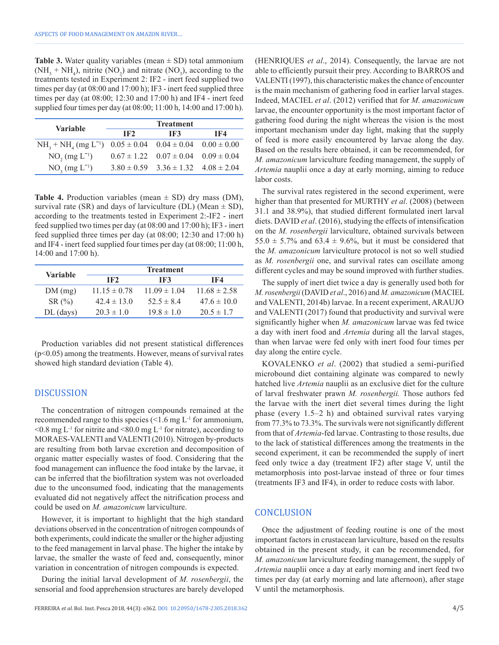**Table 3.** Water quality variables (mean  $\pm$  SD) total ammonium  $(NH<sub>3</sub> + NH<sub>4</sub>)$ , nitrite  $(NO<sub>2</sub>)$  and nitrate  $(NO<sub>3</sub>)$ , according to the treatments tested in Experiment 2: IF2 - inert feed supplied two times per day (at 08:00 and 17:00 h); IF3 - inert feed supplied three times per day (at 08:00; 12:30 and 17:00 h) and IF4 - inert feed supplied four times per day (at 08:00; 11:00 h, 14:00 and 17:00 h).

| <b>Variable</b>       | <b>Treatment</b> |                                                 |     |
|-----------------------|------------------|-------------------------------------------------|-----|
|                       | IF2              | IF3                                             | -F4 |
| $NH3 + NH4 (mg L-1)$  |                  | $0.05 \pm 0.04$ $0.04 \pm 0.04$ $0.00 \pm 0.00$ |     |
| $NO_2$ (mg $L^{-1}$ ) |                  | $0.67 \pm 1.22$ $0.07 \pm 0.04$ $0.09 \pm 0.04$ |     |
| $NO_3$ (mg $L^{-1}$ ) |                  | $3.80 \pm 0.59$ $3.36 \pm 1.32$ $4.08 \pm 2.04$ |     |

**Table 4.** Production variables (mean  $\pm$  SD) dry mass (DM), survival rate (SR) and days of larviculture (DL) (Mean  $\pm$  SD), according to the treatments tested in Experiment 2:-IF2 - inert feed supplied two times per day (at 08:00 and 17:00 h); IF3 - inert feed supplied three times per day (at 08:00; 12:30 and 17:00 h) and IF4 - inert feed supplied four times per day (at 08:00; 11:00 h, 14:00 and 17:00 h).

| <b>Variable</b> | <b>Treatment</b> |                  |                  |  |
|-----------------|------------------|------------------|------------------|--|
|                 | IF2              | IF3              | TF4              |  |
| DM(mg)          | $11.15 \pm 0.78$ | $11.09 \pm 1.04$ | $11.68 \pm 2.58$ |  |
| SR(%)           | $42.4 \pm 13.0$  | 52.5 $\pm$ 8.4   | $47.6 \pm 10.0$  |  |
| $DL$ (days)     | $20.3 \pm 1.0$   | $19.8 \pm 1.0$   | $20.5 \pm 1.7$   |  |

Production variables did not present statistical differences (p<0.05) among the treatments. However, means of survival rates showed high standard deviation (Table 4).

#### DISCUSSION

The concentration of nitrogen compounds remained at the recommended range to this species  $\leq 1.6$  mg L<sup>-1</sup> for ammonium,  $\leq 0.8$  mg L<sup>-1</sup> for nitrite and  $\leq 80.0$  mg L<sup>-1</sup> for nitrate), according to MORAES-VALENTI and VALENTI (2010). Nitrogen by-products are resulting from both larvae excretion and decomposition of organic matter especially wastes of food. Considering that the food management can influence the food intake by the larvae, it can be inferred that the biofiltration system was not overloaded due to the unconsumed food, indicating that the managements evaluated did not negatively affect the nitrification process and could be used on *M. amazonicum* larviculture.

However, it is important to highlight that the high standard deviations observed in the concentration of nitrogen compounds of both experiments, could indicate the smaller or the higher adjusting to the feed management in larval phase. The higher the intake by larvae, the smaller the waste of feed and, consequently, minor variation in concentration of nitrogen compounds is expected.

During the initial larval development of *M. rosenbergii*, the sensorial and food apprehension structures are barely developed (HENRIQUES *et al*., 2014). Consequently, the larvae are not able to efficiently pursuit their prey. According to BARROS and VALENTI (1997), this characteristic makes the chance of encounter is the main mechanism of gathering food in earlier larval stages. Indeed, MACIEL *et al*. (2012) verified that for *M. amazonicum* larvae, the encounter opportunity is the most important factor of gathering food during the night whereas the vision is the most important mechanism under day light, making that the supply of feed is more easily encountered by larvae along the day. Based on the results here obtained, it can be recommended, for *M. amazonicum* larviculture feeding management, the supply of *Artemia* nauplii once a day at early morning, aiming to reduce labor costs.

The survival rates registered in the second experiment, were higher than that presented for MURTHY *et al*. (2008) (between 31.1 and 38.9%), that studied different formulated inert larval diets. DAVID *et al*. (2016), studying the effects of intensification on the *M. rosenbergii* larviculture, obtained survivals between 55.0  $\pm$  5.7% and 63.4  $\pm$  9.6%, but it must be considered that the *M. amazonicum* larviculture protocol is not so well studied as *M. rosenbergii* one, and survival rates can oscillate among different cycles and may be sound improved with further studies.

The supply of inert diet twice a day is generally used both for *M. rosenbergii* (DAVID *et al*., 2016) and *M. amazonicum* (MACIEL and VALENTI, 2014b) larvae. In a recent experiment, ARAUJO and VALENTI (2017) found that productivity and survival were significantly higher when *M. amazonicum* larvae was fed twice a day with inert food and *Artemia* during all the larval stages, than when larvae were fed only with inert food four times per day along the entire cycle.

KOVALENKO *et al*. (2002) that studied a semi-purified microbound diet containing alginate was compared to newly hatched live *Artemia* nauplii as an exclusive diet for the culture of larval freshwater prawn *M. rosenbergii.* Those authors fed the larvae with the inert diet several times during the light phase (every 1.5–2 h) and obtained survival rates varying from 77.3% to 73.3%. The survivals were not significantly different from that of *Artemia*-fed larvae. Contrasting to those results, due to the lack of statistical differences among the treatments in the second experiment, it can be recommended the supply of inert feed only twice a day (treatment IF2) after stage V, until the metamorphosis into post-larvae instead of three or four times (treatments IF3 and IF4), in order to reduce costs with labor.

#### **CONCLUSION**

Once the adjustment of feeding routine is one of the most important factors in crustacean larviculture, based on the results obtained in the present study, it can be recommended, for *M. amazonicum* larviculture feeding management, the supply of *Artemia* nauplii once a day at early morning and inert feed two times per day (at early morning and late afternoon), after stage V until the metamorphosis.